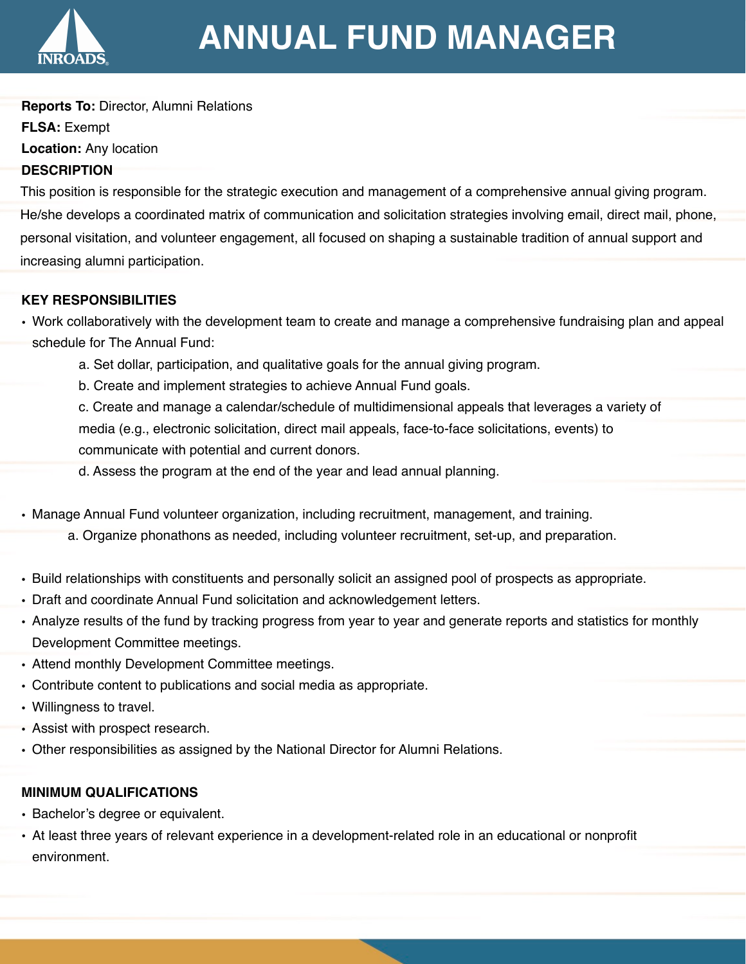

## **ANNUAL FUND MANAGER**

**Reports To:** Director, Alumni Relations **FLSA:** Exempt **Location:** Any location **DESCRIPTION**

This position is responsible for the strategic execution and management of a comprehensive annual giving program. He/she develops a coordinated matrix of communication and solicitation strategies involving email, direct mail, phone, personal visitation, and volunteer engagement, all focused on shaping a sustainable tradition of annual support and increasing alumni participation.

## **KEY RESPONSIBILITIES**

- Work collaboratively with the development team to create and manage a comprehensive fundraising plan and appeal schedule for The Annual Fund:
	- a. Set dollar, participation, and qualitative goals for the annual giving program.
	- b. Create and implement strategies to achieve Annual Fund goals.

c. Create and manage a calendar/schedule of multidimensional appeals that leverages a variety of media (e.g., electronic solicitation, direct mail appeals, face-to-face solicitations, events) to communicate with potential and current donors.

d. Assess the program at the end of the year and lead annual planning.

- Manage Annual Fund volunteer organization, including recruitment, management, and training.
	- a. Organize phonathons as needed, including volunteer recruitment, set-up, and preparation.
- Build relationships with constituents and personally solicit an assigned pool of prospects as appropriate.
- Draft and coordinate Annual Fund solicitation and acknowledgement letters.
- Analyze results of the fund by tracking progress from year to year and generate reports and statistics for monthly Development Committee meetings.
- Attend monthly Development Committee meetings.
- Contribute content to publications and social media as appropriate.
- Willingness to travel.
- Assist with prospect research.
- Other responsibilities as assigned by the National Director for Alumni Relations.

## **MINIMUM QUALIFICATIONS**

- Bachelor's degree or equivalent.
- At least three years of relevant experience in a development-related role in an educational or nonprofit environment.